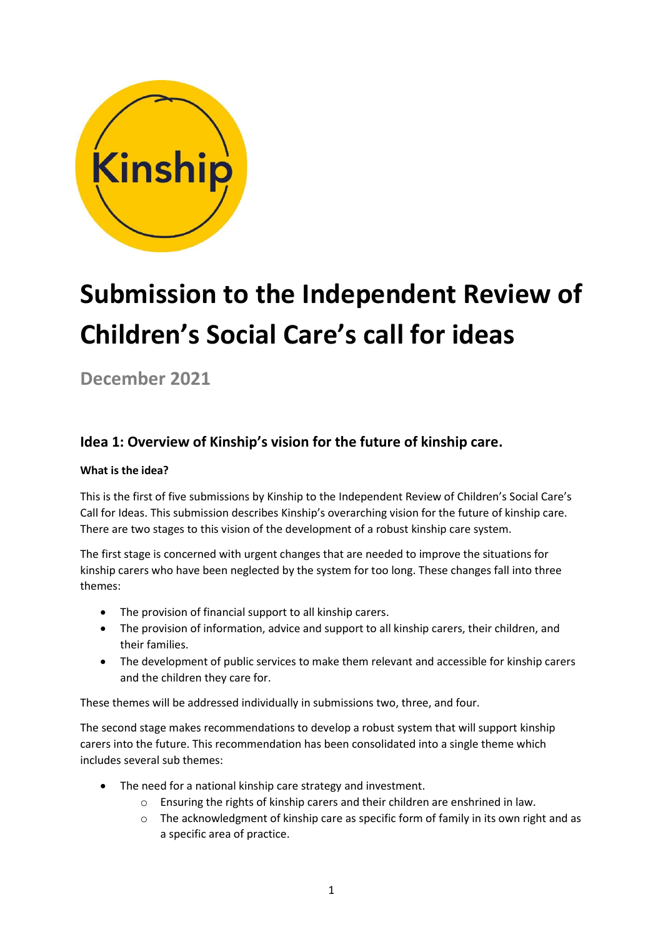

# **Submission to the Independent Review of Children's Social Care's call for ideas**

**December 2021**

# **Idea 1: Overview of Kinship's vision for the future of kinship care.**

#### **What is the idea?**

This is the first of five submissions by Kinship to the Independent Review of Children's Social Care's Call for Ideas. This submission describes Kinship's overarching vision for the future of kinship care. There are two stages to this vision of the development of a robust kinship care system.

The first stage is concerned with urgent changes that are needed to improve the situations for kinship carers who have been neglected by the system for too long. These changes fall into three themes:

- The provision of financial support to all kinship carers.
- The provision of information, advice and support to all kinship carers, their children, and their families.
- The development of public services to make them relevant and accessible for kinship carers and the children they care for.

These themes will be addressed individually in submissions two, three, and four.

The second stage makes recommendations to develop a robust system that will support kinship carers into the future. This recommendation has been consolidated into a single theme which includes several sub themes:

- The need for a national kinship care strategy and investment.
	- o Ensuring the rights of kinship carers and their children are enshrined in law.
	- $\circ$  The acknowledgment of kinship care as specific form of family in its own right and as a specific area of practice.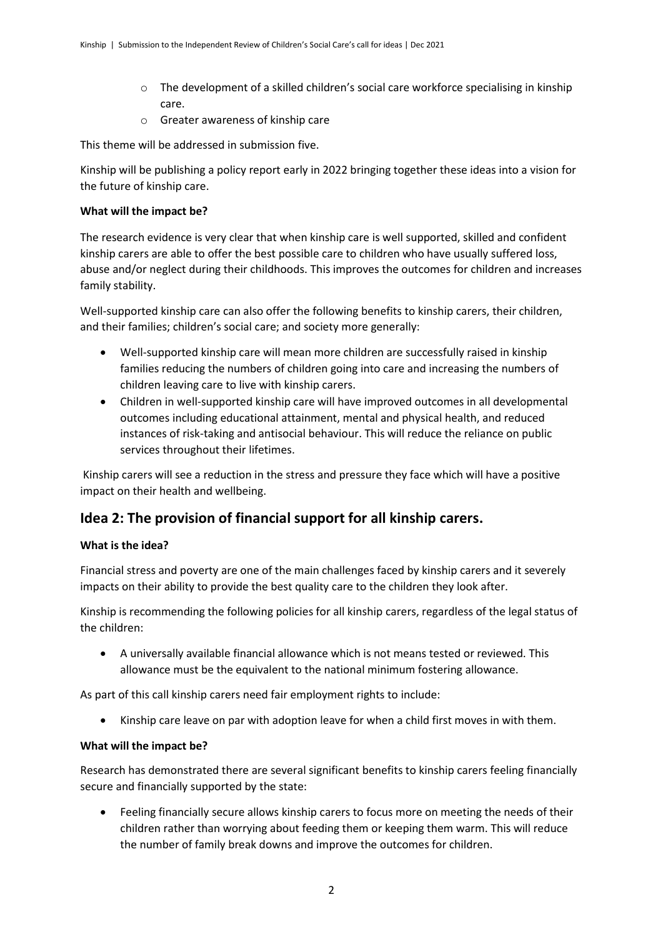- o The development of a skilled children's social care workforce specialising in kinship care.
- o Greater awareness of kinship care

This theme will be addressed in submission five.

Kinship will be publishing a policy report early in 2022 bringing together these ideas into a vision for the future of kinship care.

#### **What will the impact be?**

The research evidence is very clear that when kinship care is well supported, skilled and confident kinship carers are able to offer the best possible care to children who have usually suffered loss, abuse and/or neglect during their childhoods. This improves the outcomes for children and increases family stability.

Well-supported kinship care can also offer the following benefits to kinship carers, their children, and their families; children's social care; and society more generally:

- Well-supported kinship care will mean more children are successfully raised in kinship families reducing the numbers of children going into care and increasing the numbers of children leaving care to live with kinship carers.
- Children in well-supported kinship care will have improved outcomes in all developmental outcomes including educational attainment, mental and physical health, and reduced instances of risk-taking and antisocial behaviour. This will reduce the reliance on public services throughout their lifetimes.

Kinship carers will see a reduction in the stress and pressure they face which will have a positive impact on their health and wellbeing.

## **Idea 2: The provision of financial support for all kinship carers.**

#### **What is the idea?**

Financial stress and poverty are one of the main challenges faced by kinship carers and it severely impacts on their ability to provide the best quality care to the children they look after.

Kinship is recommending the following policies for all kinship carers, regardless of the legal status of the children:

• A universally available financial allowance which is not means tested or reviewed. This allowance must be the equivalent to the national minimum fostering allowance.

As part of this call kinship carers need fair employment rights to include:

• Kinship care leave on par with adoption leave for when a child first moves in with them.

#### **What will the impact be?**

Research has demonstrated there are several significant benefits to kinship carers feeling financially secure and financially supported by the state:

• Feeling financially secure allows kinship carers to focus more on meeting the needs of their children rather than worrying about feeding them or keeping them warm. This will reduce the number of family break downs and improve the outcomes for children.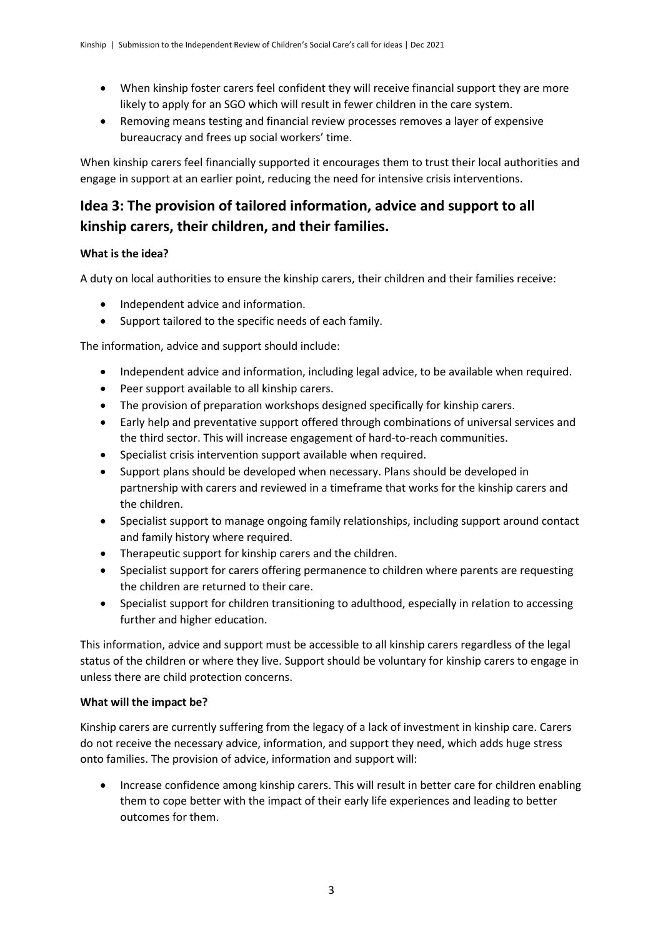- When kinship foster carers feel confident they will receive financial support they are more likely to apply for an SGO which will result in fewer children in the care system.
- Removing means testing and financial review processes removes a layer of expensive bureaucracy and frees up social workers' time.

When kinship carers feel financially supported it encourages them to trust their local authorities and engage in support at an earlier point, reducing the need for intensive crisis interventions.

# **Idea 3: The provision of tailored information, advice and support to all kinship carers, their children, and their families.**

#### **What is the idea?**

A duty on local authorities to ensure the kinship carers, their children and their families receive:

- Independent advice and information.
- Support tailored to the specific needs of each family.

The information, advice and support should include:

- Independent advice and information, including legal advice, to be available when required.
- Peer support available to all kinship carers.
- The provision of preparation workshops designed specifically for kinship carers.
- Early help and preventative support offered through combinations of universal services and the third sector. This will increase engagement of hard-to-reach communities.
- Specialist crisis intervention support available when required.
- Support plans should be developed when necessary. Plans should be developed in partnership with carers and reviewed in a timeframe that works for the kinship carers and the children.
- Specialist support to manage ongoing family relationships, including support around contact and family history where required.
- Therapeutic support for kinship carers and the children.
- Specialist support for carers offering permanence to children where parents are requesting the children are returned to their care.
- Specialist support for children transitioning to adulthood, especially in relation to accessing further and higher education.

This information, advice and support must be accessible to all kinship carers regardless of the legal status of the children or where they live. Support should be voluntary for kinship carers to engage in unless there are child protection concerns.

#### **What will the impact be?**

Kinship carers are currently suffering from the legacy of a lack of investment in kinship care. Carers do not receive the necessary advice, information, and support they need, which adds huge stress onto families. The provision of advice, information and support will:

• Increase confidence among kinship carers. This will result in better care for children enabling them to cope better with the impact of their early life experiences and leading to better outcomes for them.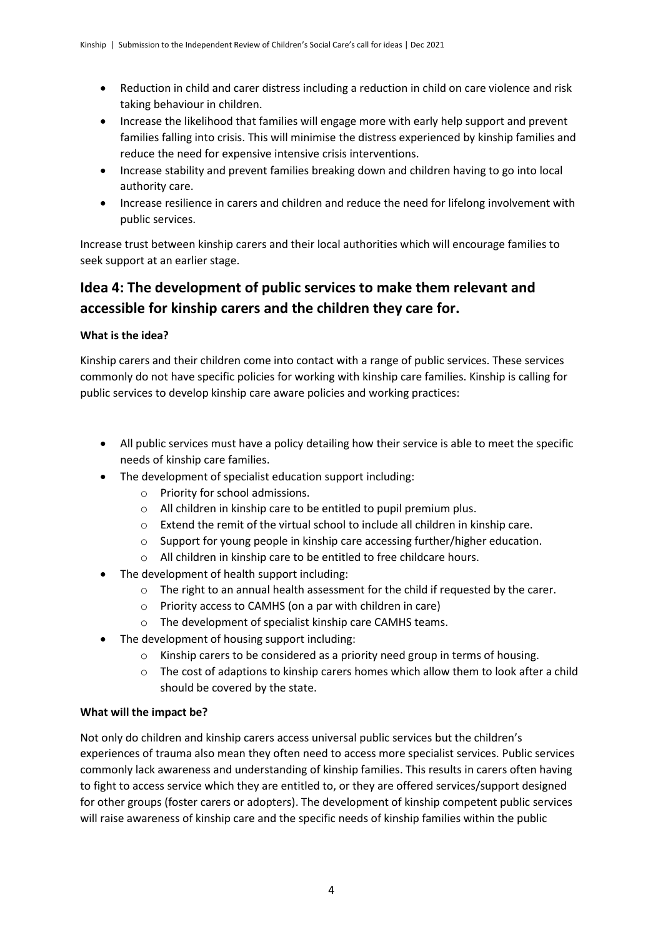- Reduction in child and carer distress including a reduction in child on care violence and risk taking behaviour in children.
- Increase the likelihood that families will engage more with early help support and prevent families falling into crisis. This will minimise the distress experienced by kinship families and reduce the need for expensive intensive crisis interventions.
- Increase stability and prevent families breaking down and children having to go into local authority care.
- Increase resilience in carers and children and reduce the need for lifelong involvement with public services.

Increase trust between kinship carers and their local authorities which will encourage families to seek support at an earlier stage.

# **Idea 4: The development of public services to make them relevant and accessible for kinship carers and the children they care for.**

#### **What is the idea?**

Kinship carers and their children come into contact with a range of public services. These services commonly do not have specific policies for working with kinship care families. Kinship is calling for public services to develop kinship care aware policies and working practices:

- All public services must have a policy detailing how their service is able to meet the specific needs of kinship care families.
- The development of specialist education support including:
	- o Priority for school admissions.
	- o All children in kinship care to be entitled to pupil premium plus.
	- o Extend the remit of the virtual school to include all children in kinship care.
	- o Support for young people in kinship care accessing further/higher education.
	- o All children in kinship care to be entitled to free childcare hours.
- The development of health support including:
	- o The right to an annual health assessment for the child if requested by the carer.
	- o Priority access to CAMHS (on a par with children in care)
	- o The development of specialist kinship care CAMHS teams.
- The development of housing support including:
	- $\circ$  Kinship carers to be considered as a priority need group in terms of housing.
	- $\circ$  The cost of adaptions to kinship carers homes which allow them to look after a child should be covered by the state.

#### **What will the impact be?**

Not only do children and kinship carers access universal public services but the children's experiences of trauma also mean they often need to access more specialist services. Public services commonly lack awareness and understanding of kinship families. This results in carers often having to fight to access service which they are entitled to, or they are offered services/support designed for other groups (foster carers or adopters). The development of kinship competent public services will raise awareness of kinship care and the specific needs of kinship families within the public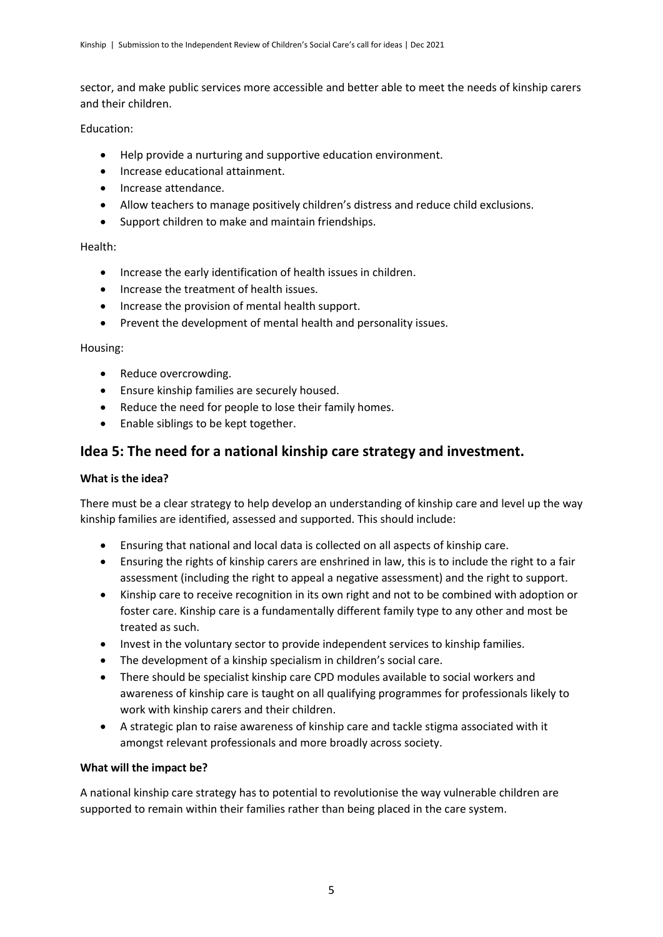sector, and make public services more accessible and better able to meet the needs of kinship carers and their children.

Education:

- Help provide a nurturing and supportive education environment.
- Increase educational attainment.
- Increase attendance.
- Allow teachers to manage positively children's distress and reduce child exclusions.
- Support children to make and maintain friendships.

#### Health:

- Increase the early identification of health issues in children.
- Increase the treatment of health issues.
- Increase the provision of mental health support.
- Prevent the development of mental health and personality issues.

#### Housing:

- Reduce overcrowding.
- Ensure kinship families are securely housed.
- Reduce the need for people to lose their family homes.
- Enable siblings to be kept together.

## **Idea 5: The need for a national kinship care strategy and investment.**

#### **What is the idea?**

There must be a clear strategy to help develop an understanding of kinship care and level up the way kinship families are identified, assessed and supported. This should include:

- Ensuring that national and local data is collected on all aspects of kinship care.
- Ensuring the rights of kinship carers are enshrined in law, this is to include the right to a fair assessment (including the right to appeal a negative assessment) and the right to support.
- Kinship care to receive recognition in its own right and not to be combined with adoption or foster care. Kinship care is a fundamentally different family type to any other and most be treated as such.
- Invest in the voluntary sector to provide independent services to kinship families.
- The development of a kinship specialism in children's social care.
- There should be specialist kinship care CPD modules available to social workers and awareness of kinship care is taught on all qualifying programmes for professionals likely to work with kinship carers and their children.
- A strategic plan to raise awareness of kinship care and tackle stigma associated with it amongst relevant professionals and more broadly across society.

#### **What will the impact be?**

A national kinship care strategy has to potential to revolutionise the way vulnerable children are supported to remain within their families rather than being placed in the care system.